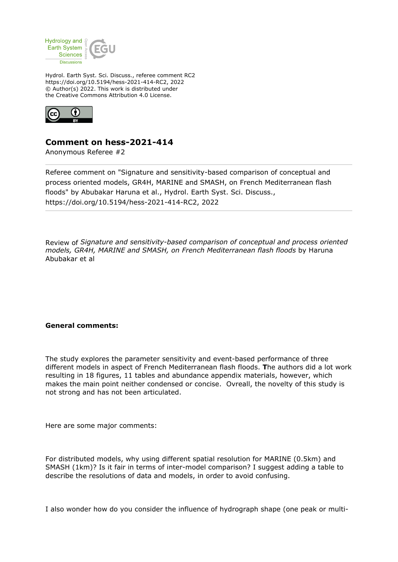

Hydrol. Earth Syst. Sci. Discuss., referee comment RC2 https://doi.org/10.5194/hess-2021-414-RC2, 2022 © Author(s) 2022. This work is distributed under the Creative Commons Attribution 4.0 License.



## **Comment on hess-2021-414**

Anonymous Referee #2

Referee comment on "Signature and sensitivity-based comparison of conceptual and process oriented models, GR4H, MARINE and SMASH, on French Mediterranean flash floods" by Abubakar Haruna et al., Hydrol. Earth Syst. Sci. Discuss., https://doi.org/10.5194/hess-2021-414-RC2, 2022

Review of *Signature and sensitivity-based comparison of conceptual and process oriented models, GR4H, MARINE and SMASH, on French Mediterranean flash floods* by Haruna Abubakar et al

## **General comments:**

The study explores the parameter sensitivity and event-based performance of three different models in aspect of French Mediterranean flash floods. **T**he authors did a lot work resulting in 18 figures, 11 tables and abundance appendix materials, however, which makes the main point neither condensed or concise. Ovreall, the novelty of this study is not strong and has not been articulated.

Here are some major comments:

For distributed models, why using different spatial resolution for MARINE (0.5km) and SMASH (1km)? Is it fair in terms of inter-model comparison? I suggest adding a table to describe the resolutions of data and models, in order to avoid confusing.

I also wonder how do you consider the influence of hydrograph shape (one peak or multi-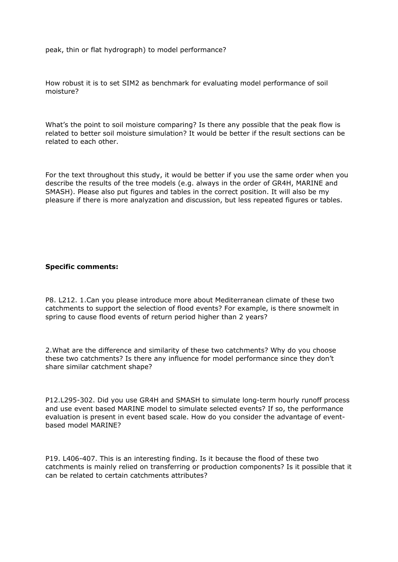peak, thin or flat hydrograph) to model performance?

How robust it is to set SIM2 as benchmark for evaluating model performance of soil moisture?

What's the point to soil moisture comparing? Is there any possible that the peak flow is related to better soil moisture simulation? It would be better if the result sections can be related to each other.

For the text throughout this study, it would be better if you use the same order when you describe the results of the tree models (e.g. always in the order of GR4H, MARINE and SMASH). Please also put figures and tables in the correct position. It will also be my pleasure if there is more analyzation and discussion, but less repeated figures or tables.

## **Specific comments:**

P8. L212. 1.Can you please introduce more about Mediterranean climate of these two catchments to support the selection of flood events? For example, is there snowmelt in spring to cause flood events of return period higher than 2 years?

2.What are the difference and similarity of these two catchments? Why do you choose these two catchments? Is there any influence for model performance since they don't share similar catchment shape?

P12.L295-302. Did you use GR4H and SMASH to simulate long-term hourly runoff process and use event based MARINE model to simulate selected events? If so, the performance evaluation is present in event based scale. How do you consider the advantage of eventbased model MARINE?

P19. L406-407. This is an interesting finding. Is it because the flood of these two catchments is mainly relied on transferring or production components? Is it possible that it can be related to certain catchments attributes?